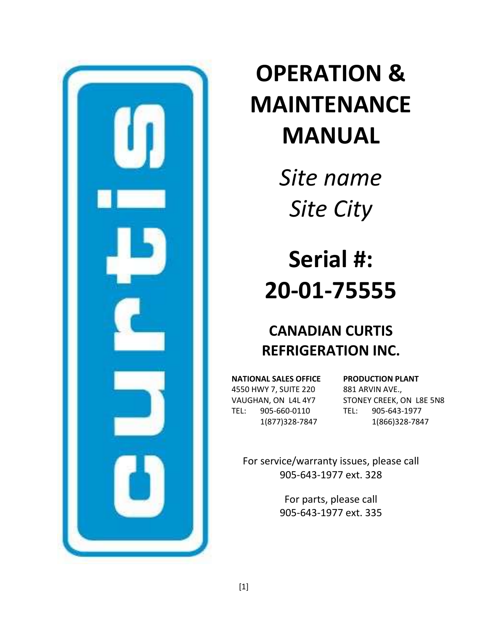

# **OPERATION & MAINTENANCE MANUAL**

*Site name Site City*

# **Serial #: 20-01-75555**

# **CANADIAN CURTIS REFRIGERATION INC.**

**NATIONAL SALES OFFICE** 4550 HWY 7, SUITE 220 VAUGHAN, ON L4L 4Y7 TEL: 905-660-0110 1(877)328-7847

**PRODUCTION PLANT** 881 ARVIN AVE., STONEY CREEK, ON L8E 5N8 TEL: 905-643-1977 1(866)328-7847

For service/warranty issues, please call 905-643-1977 ext. 328

> For parts, please call 905-643-1977 ext. 335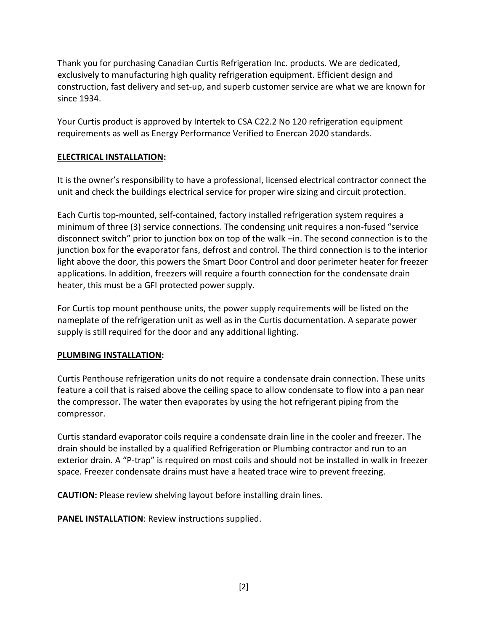Thank you for purchasing Canadian Curtis Refrigeration Inc. products. We are dedicated, exclusively to manufacturing high quality refrigeration equipment. Efficient design and construction, fast delivery and set-up, and superb customer service are what we are known for since 1934.

Your Curtis product is approved by Intertek to CSA C22.2 No 120 refrigeration equipment requirements as well as Energy Performance Verified to Enercan 2020 standards.

# **ELECTRICAL INSTALLATION:**

It is the owner's responsibility to have a professional, licensed electrical contractor connect the unit and check the buildings electrical service for proper wire sizing and circuit protection.

Each Curtis top-mounted, self-contained, factory installed refrigeration system requires a minimum of three (3) service connections. The condensing unit requires a non-fused "service disconnect switch" prior to junction box on top of the walk –in. The second connection is to the junction box for the evaporator fans, defrost and control. The third connection is to the interior light above the door, this powers the Smart Door Control and door perimeter heater for freezer applications. In addition, freezers will require a fourth connection for the condensate drain heater, this must be a GFI protected power supply.

For Curtis top mount penthouse units, the power supply requirements will be listed on the nameplate of the refrigeration unit as well as in the Curtis documentation. A separate power supply is still required for the door and any additional lighting.

# **PLUMBING INSTALLATION:**

Curtis Penthouse refrigeration units do not require a condensate drain connection. These units feature a coil that is raised above the ceiling space to allow condensate to flow into a pan near the compressor. The water then evaporates by using the hot refrigerant piping from the compressor.

Curtis standard evaporator coils require a condensate drain line in the cooler and freezer. The drain should be installed by a qualified Refrigeration or Plumbing contractor and run to an exterior drain. A "P-trap" is required on most coils and should not be installed in walk in freezer space. Freezer condensate drains must have a heated trace wire to prevent freezing.

**CAUTION:** Please review shelving layout before installing drain lines.

**PANEL INSTALLATION:** Review instructions supplied.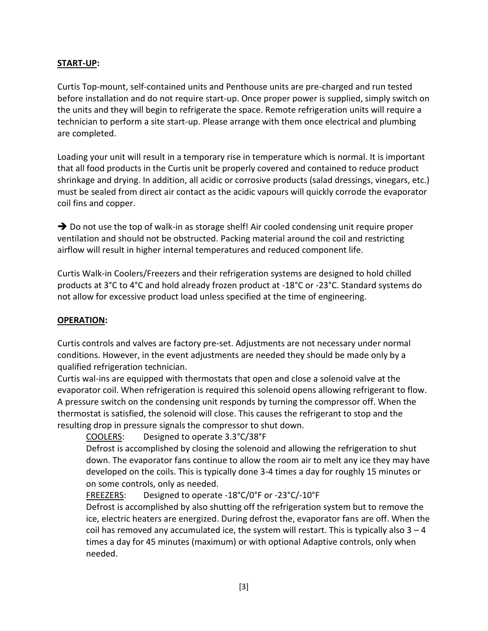#### **START-UP:**

Curtis Top-mount, self-contained units and Penthouse units are pre-charged and run tested before installation and do not require start-up. Once proper power is supplied, simply switch on the units and they will begin to refrigerate the space. Remote refrigeration units will require a technician to perform a site start-up. Please arrange with them once electrical and plumbing are completed.

Loading your unit will result in a temporary rise in temperature which is normal. It is important that all food products in the Curtis unit be properly covered and contained to reduce product shrinkage and drying. In addition, all acidic or corrosive products (salad dressings, vinegars, etc.) must be sealed from direct air contact as the acidic vapours will quickly corrode the evaporator coil fins and copper.

 $\rightarrow$  Do not use the top of walk-in as storage shelf! Air cooled condensing unit require proper ventilation and should not be obstructed. Packing material around the coil and restricting airflow will result in higher internal temperatures and reduced component life.

Curtis Walk-in Coolers/Freezers and their refrigeration systems are designed to hold chilled products at 3°C to 4°C and hold already frozen product at -18°C or -23°C. Standard systems do not allow for excessive product load unless specified at the time of engineering.

#### **OPERATION:**

Curtis controls and valves are factory pre-set. Adjustments are not necessary under normal conditions. However, in the event adjustments are needed they should be made only by a qualified refrigeration technician.

Curtis wal-ins are equipped with thermostats that open and close a solenoid valve at the evaporator coil. When refrigeration is required this solenoid opens allowing refrigerant to flow. A pressure switch on the condensing unit responds by turning the compressor off. When the thermostat is satisfied, the solenoid will close. This causes the refrigerant to stop and the resulting drop in pressure signals the compressor to shut down.

COOLERS: Designed to operate 3.3°C/38°F

Defrost is accomplished by closing the solenoid and allowing the refrigeration to shut down. The evaporator fans continue to allow the room air to melt any ice they may have developed on the coils. This is typically done 3-4 times a day for roughly 15 minutes or on some controls, only as needed.

# FREEZERS: Designed to operate -18°C/0°F or -23°C/-10°F

Defrost is accomplished by also shutting off the refrigeration system but to remove the ice, electric heaters are energized. During defrost the, evaporator fans are off. When the coil has removed any accumulated ice, the system will restart. This is typically also  $3 - 4$ times a day for 45 minutes (maximum) or with optional Adaptive controls, only when needed.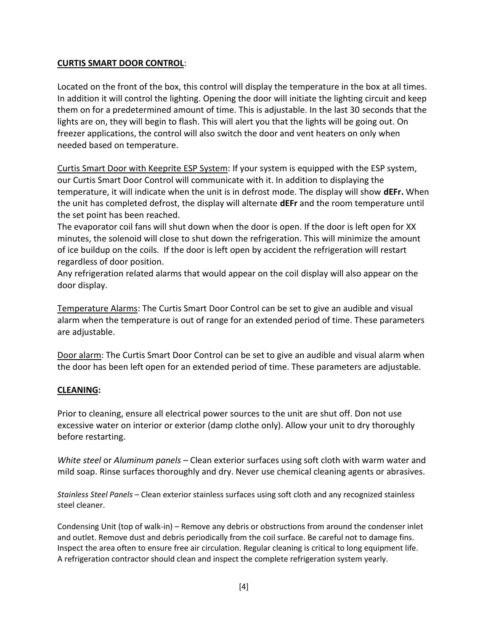#### **CURTIS SMART DOOR CONTROL**:

Located on the front of the box, this control will display the temperature in the box at all times. In addition it will control the lighting. Opening the door will initiate the lighting circuit and keep them on for a predetermined amount of time. This is adjustable. In the last 30 seconds that the lights are on, they will begin to flash. This will alert you that the lights will be going out. On freezer applications, the control will also switch the door and vent heaters on only when needed based on temperature.

Curtis Smart Door with Keeprite ESP System: If your system is equipped with the ESP system, our Curtis Smart Door Control will communicate with it. In addition to displaying the temperature, it will indicate when the unit is in defrost mode. The display will show **dEFr.** When the unit has completed defrost, the display will alternate **dEFr** and the room temperature until the set point has been reached.

The evaporator coil fans will shut down when the door is open. If the door is left open for XX minutes, the solenoid will close to shut down the refrigeration. This will minimize the amount of ice buildup on the coils. If the door is left open by accident the refrigeration will restart regardless of door position.

Any refrigeration related alarms that would appear on the coil display will also appear on the door display.

Temperature Alarms: The Curtis Smart Door Control can be set to give an audible and visual alarm when the temperature is out of range for an extended period of time. These parameters are adjustable.

Door alarm: The Curtis Smart Door Control can be set to give an audible and visual alarm when the door has been left open for an extended period of time. These parameters are adjustable.

# **CLEANING:**

Prior to cleaning, ensure all electrical power sources to the unit are shut off. Don not use excessive water on interior or exterior (damp clothe only). Allow your unit to dry thoroughly before restarting.

*White steel* or *Aluminum panels –* Clean exterior surfaces using soft cloth with warm water and mild soap. Rinse surfaces thoroughly and dry. Never use chemical cleaning agents or abrasives.

*Stainless Steel Panels* – Clean exterior stainless surfaces using soft cloth and any recognized stainless steel cleaner.

Condensing Unit (top of walk-in) – Remove any debris or obstructions from around the condenser inlet and outlet. Remove dust and debris periodically from the coil surface. Be careful not to damage fins. Inspect the area often to ensure free air circulation. Regular cleaning is critical to long equipment life. A refrigeration contractor should clean and inspect the complete refrigeration system yearly.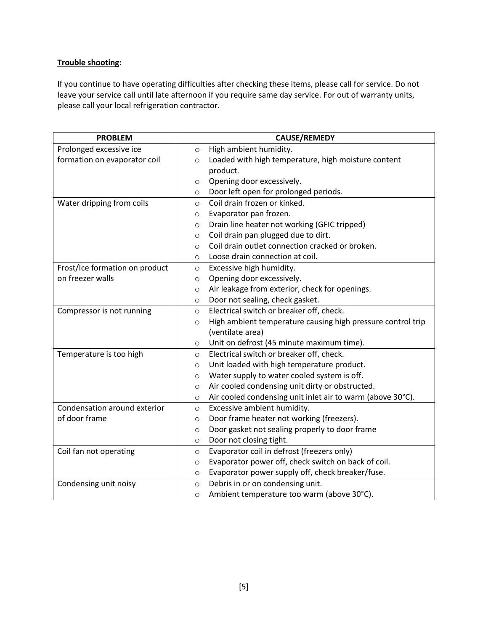# **Trouble shooting:**

If you continue to have operating difficulties after checking these items, please call for service. Do not leave your service call until late afternoon if you require same day service. For out of warranty units, please call your local refrigeration contractor.

| <b>PROBLEM</b>                 | CAUSE/REMEDY                                                           |
|--------------------------------|------------------------------------------------------------------------|
| Prolonged excessive ice        | High ambient humidity.<br>$\circ$                                      |
| formation on evaporator coil   | Loaded with high temperature, high moisture content<br>$\circ$         |
|                                | product.                                                               |
|                                | Opening door excessively.<br>$\circ$                                   |
|                                | Door left open for prolonged periods.<br>$\circ$                       |
| Water dripping from coils      | Coil drain frozen or kinked.<br>$\circ$                                |
|                                | Evaporator pan frozen.<br>$\circ$                                      |
|                                | Drain line heater not working (GFIC tripped)<br>$\circ$                |
|                                | Coil drain pan plugged due to dirt.<br>$\circ$                         |
|                                | Coil drain outlet connection cracked or broken.<br>$\circ$             |
|                                | Loose drain connection at coil.<br>$\circ$                             |
| Frost/Ice formation on product | Excessive high humidity.<br>$\circ$                                    |
| on freezer walls               | Opening door excessively.<br>$\circ$                                   |
|                                | Air leakage from exterior, check for openings.<br>$\circ$              |
|                                | Door not sealing, check gasket.<br>$\circ$                             |
| Compressor is not running      | Electrical switch or breaker off, check.<br>$\circ$                    |
|                                | High ambient temperature causing high pressure control trip<br>$\circ$ |
|                                | (ventilate area)                                                       |
|                                | Unit on defrost (45 minute maximum time).<br>$\circ$                   |
| Temperature is too high        | Electrical switch or breaker off, check.<br>$\circ$                    |
|                                | Unit loaded with high temperature product.<br>$\circ$                  |
|                                | Water supply to water cooled system is off.<br>$\circ$                 |
|                                | Air cooled condensing unit dirty or obstructed.<br>$\circ$             |
|                                | Air cooled condensing unit inlet air to warm (above 30°C).<br>$\circ$  |
| Condensation around exterior   | Excessive ambient humidity.<br>$\circ$                                 |
| of door frame                  | Door frame heater not working (freezers).<br>$\circ$                   |
|                                | Door gasket not sealing properly to door frame<br>$\circ$              |
|                                | Door not closing tight.<br>$\circ$                                     |
| Coil fan not operating         | Evaporator coil in defrost (freezers only)<br>$\circ$                  |
|                                | Evaporator power off, check switch on back of coil.<br>$\circ$         |
|                                | Evaporator power supply off, check breaker/fuse.<br>$\circ$            |
| Condensing unit noisy          | Debris in or on condensing unit.<br>$\circ$                            |
|                                | Ambient temperature too warm (above 30°C).<br>$\circ$                  |